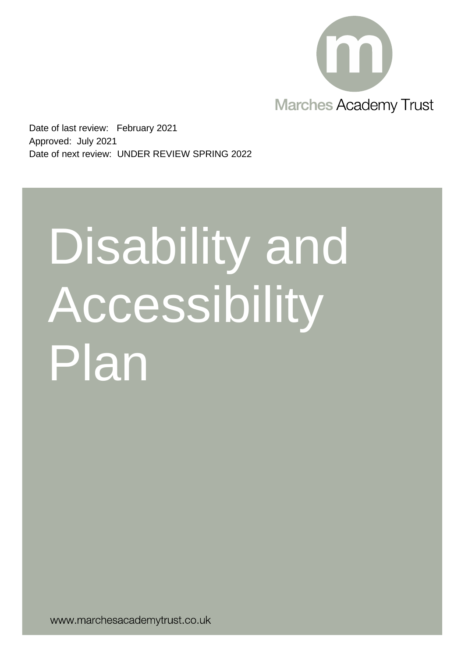

Date of last review: February 2021 Approved: July 2021 Date of next review: UNDER REVIEW SPRING 2022

# Disability and **Accessibility** Plan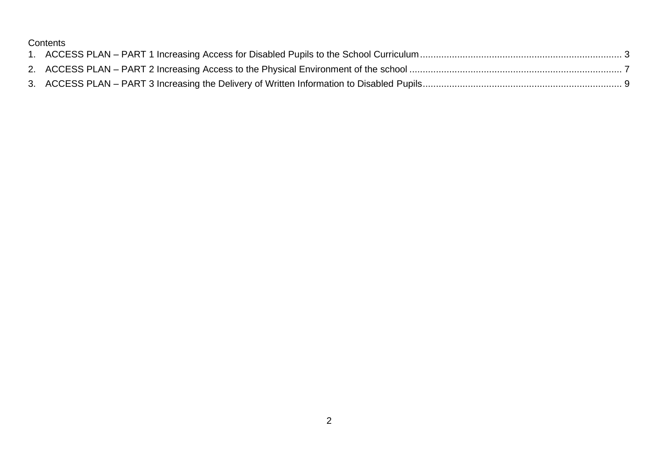### **Contents**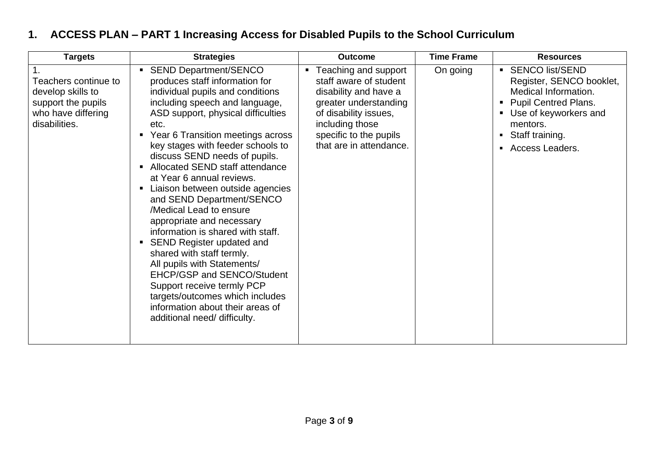## <span id="page-2-0"></span>**1. ACCESS PLAN – PART 1 Increasing Access for Disabled Pupils to the School Curriculum**

| <b>Targets</b>                                                                                         | <b>Strategies</b>                                                                                                                                                                                                                                                                                                                                                                                                                                                                                                                                                                                                                                                                                                                                                                                                   | <b>Outcome</b>                                                                                                                                                                                      | <b>Time Frame</b> | <b>Resources</b>                                                                                                                                                                                            |
|--------------------------------------------------------------------------------------------------------|---------------------------------------------------------------------------------------------------------------------------------------------------------------------------------------------------------------------------------------------------------------------------------------------------------------------------------------------------------------------------------------------------------------------------------------------------------------------------------------------------------------------------------------------------------------------------------------------------------------------------------------------------------------------------------------------------------------------------------------------------------------------------------------------------------------------|-----------------------------------------------------------------------------------------------------------------------------------------------------------------------------------------------------|-------------------|-------------------------------------------------------------------------------------------------------------------------------------------------------------------------------------------------------------|
| Teachers continue to<br>develop skills to<br>support the pupils<br>who have differing<br>disabilities. | <b>SEND Department/SENCO</b><br>produces staff information for<br>individual pupils and conditions<br>including speech and language,<br>ASD support, physical difficulties<br>etc.<br>• Year 6 Transition meetings across<br>key stages with feeder schools to<br>discuss SEND needs of pupils.<br>Allocated SEND staff attendance<br>$\blacksquare$<br>at Year 6 annual reviews.<br>Liaison between outside agencies<br>π.<br>and SEND Department/SENCO<br>/Medical Lead to ensure<br>appropriate and necessary<br>information is shared with staff.<br>• SEND Register updated and<br>shared with staff termly.<br>All pupils with Statements/<br>EHCP/GSP and SENCO/Student<br>Support receive termly PCP<br>targets/outcomes which includes<br>information about their areas of<br>additional need/ difficulty. | ■ Teaching and support<br>staff aware of student<br>disability and have a<br>greater understanding<br>of disability issues,<br>including those<br>specific to the pupils<br>that are in attendance. | On going          | <b>SENCO list/SEND</b><br>$\blacksquare$<br>Register, SENCO booklet,<br>Medical Information.<br><b>Pupil Centred Plans.</b><br>Use of keyworkers and<br>mentors.<br>Staff training.<br>٠<br>Access Leaders. |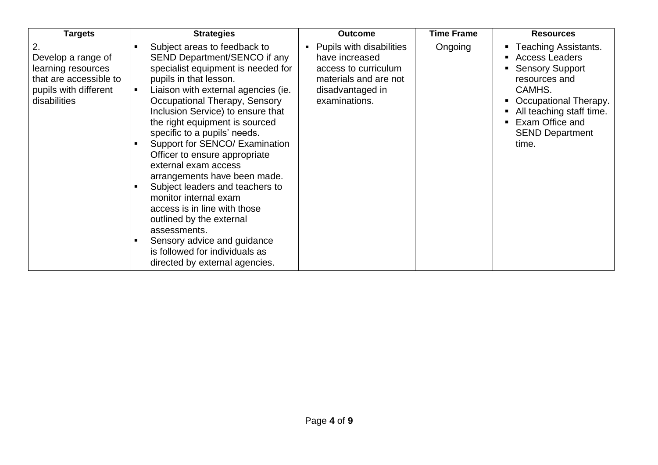| <b>Targets</b>                                                                                                    | <b>Strategies</b>                                                                                                                                                                                                                                                                                                                                                                                                                                                                                                                                                                                                                                                                 | <b>Outcome</b>                                                                                                                   | <b>Time Frame</b> | <b>Resources</b>                                                                                                                                                                                                     |
|-------------------------------------------------------------------------------------------------------------------|-----------------------------------------------------------------------------------------------------------------------------------------------------------------------------------------------------------------------------------------------------------------------------------------------------------------------------------------------------------------------------------------------------------------------------------------------------------------------------------------------------------------------------------------------------------------------------------------------------------------------------------------------------------------------------------|----------------------------------------------------------------------------------------------------------------------------------|-------------------|----------------------------------------------------------------------------------------------------------------------------------------------------------------------------------------------------------------------|
| 2.<br>Develop a range of<br>learning resources<br>that are accessible to<br>pupils with different<br>disabilities | Subject areas to feedback to<br>SEND Department/SENCO if any<br>specialist equipment is needed for<br>pupils in that lesson.<br>Liaison with external agencies (ie.<br>Occupational Therapy, Sensory<br>Inclusion Service) to ensure that<br>the right equipment is sourced<br>specific to a pupils' needs.<br>Support for SENCO/ Examination<br>Officer to ensure appropriate<br>external exam access<br>arrangements have been made.<br>Subject leaders and teachers to<br>monitor internal exam<br>access is in line with those<br>outlined by the external<br>assessments.<br>Sensory advice and guidance<br>is followed for individuals as<br>directed by external agencies. | Pupils with disabilities<br>have increased<br>access to curriculum<br>materials and are not<br>disadvantaged in<br>examinations. | Ongoing           | <b>Teaching Assistants.</b><br><b>Access Leaders</b><br><b>Sensory Support</b><br>resources and<br>CAMHS.<br>Occupational Therapy.<br>All teaching staff time.<br>Exam Office and<br><b>SEND Department</b><br>time. |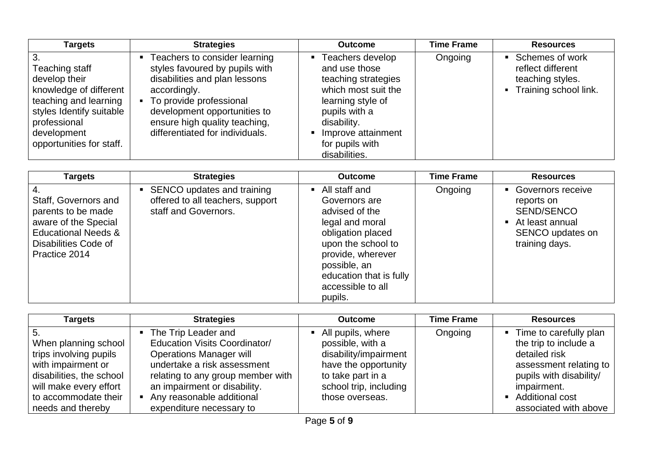| <b>Targets</b>                                                                                                                                                            | <b>Strategies</b>                                                                                                                                                                                                                                 | <b>Outcome</b>                                                                                                                                                                                 | <b>Time Frame</b> | <b>Resources</b>                                                                    |
|---------------------------------------------------------------------------------------------------------------------------------------------------------------------------|---------------------------------------------------------------------------------------------------------------------------------------------------------------------------------------------------------------------------------------------------|------------------------------------------------------------------------------------------------------------------------------------------------------------------------------------------------|-------------------|-------------------------------------------------------------------------------------|
| Teaching staff<br>develop their<br>knowledge of different<br>teaching and learning<br>styles Identify suitable<br>professional<br>development<br>opportunities for staff. | Teachers to consider learning<br>styles favoured by pupils with<br>disabilities and plan lessons<br>accordingly.<br>• To provide professional<br>development opportunities to<br>ensure high quality teaching,<br>differentiated for individuals. | Teachers develop<br>and use those<br>teaching strategies<br>which most suit the<br>learning style of<br>pupils with a<br>disability.<br>Improve attainment<br>for pupils with<br>disabilities. | Ongoing           | Schemes of work<br>reflect different<br>teaching styles.<br>- Training school link. |

| <b>Targets</b>                                                                                                                                | <b>Strategies</b>                                                                        | <b>Outcome</b>                                                                                                                                                                                                   | <b>Time Frame</b> | <b>Resources</b>                                                                                         |
|-----------------------------------------------------------------------------------------------------------------------------------------------|------------------------------------------------------------------------------------------|------------------------------------------------------------------------------------------------------------------------------------------------------------------------------------------------------------------|-------------------|----------------------------------------------------------------------------------------------------------|
| Staff, Governors and<br>parents to be made<br>aware of the Special<br><b>Educational Needs &amp;</b><br>Disabilities Code of<br>Practice 2014 | • SENCO updates and training<br>offered to all teachers, support<br>staff and Governors. | • All staff and<br>Governors are<br>advised of the<br>legal and moral<br>obligation placed<br>upon the school to<br>provide, wherever<br>possible, an<br>education that is fully<br>accessible to all<br>pupils. | Ongoing           | • Governors receive<br>reports on<br>SEND/SENCO<br>At least annual<br>SENCO updates on<br>training days. |

| <b>Targets</b>                                                                                                                                                                 | <b>Strategies</b>                                                                                                                                                                                                                                            | <b>Outcome</b>                                                                                                                                           | <b>Time Frame</b> | <b>Resources</b>                                                                                                                                                                     |
|--------------------------------------------------------------------------------------------------------------------------------------------------------------------------------|--------------------------------------------------------------------------------------------------------------------------------------------------------------------------------------------------------------------------------------------------------------|----------------------------------------------------------------------------------------------------------------------------------------------------------|-------------------|--------------------------------------------------------------------------------------------------------------------------------------------------------------------------------------|
| -5.<br>When planning school<br>trips involving pupils<br>with impairment or<br>disabilities, the school<br>will make every effort<br>to accommodate their<br>needs and thereby | • The Trip Leader and<br><b>Education Visits Coordinator/</b><br><b>Operations Manager will</b><br>undertake a risk assessment<br>relating to any group member with<br>an impairment or disability.<br>Any reasonable additional<br>expenditure necessary to | All pupils, where<br>possible, with a<br>disability/impairment<br>have the opportunity<br>to take part in a<br>school trip, including<br>those overseas. | Ongoing           | • Time to carefully plan<br>the trip to include a<br>detailed risk<br>assessment relating to<br>pupils with disability/<br>impairment.<br>• Additional cost<br>associated with above |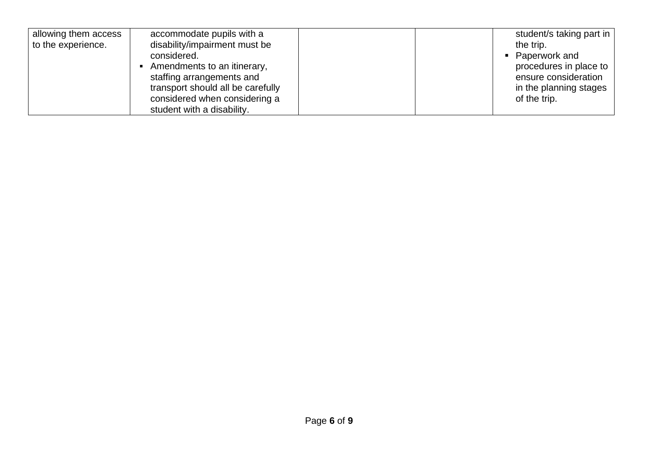| allowing them access | accommodate pupils with a         | student/s taking part in |
|----------------------|-----------------------------------|--------------------------|
| to the experience.   | disability/impairment must be     | the trip.                |
|                      | considered.                       | • Paperwork and          |
|                      | Amendments to an itinerary,       | procedures in place to   |
|                      | staffing arrangements and         | ensure consideration     |
|                      | transport should all be carefully | in the planning stages   |
|                      | considered when considering a     | of the trip.             |
|                      | student with a disability.        |                          |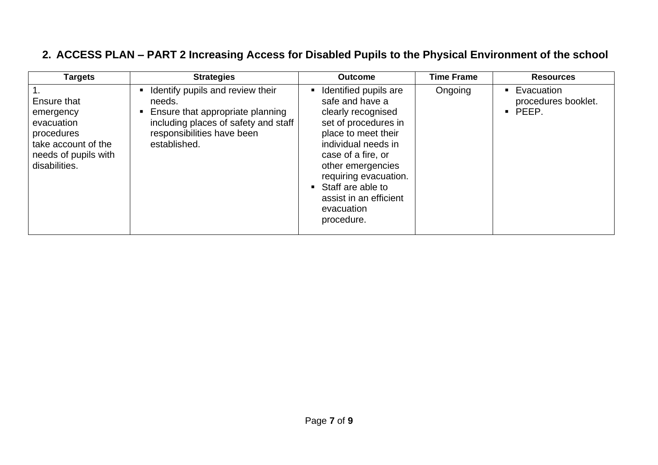## <span id="page-6-0"></span>**2. ACCESS PLAN – PART 2 Increasing Access for Disabled Pupils to the Physical Environment of the school**

| <b>Targets</b>                                                                                                       | <b>Strategies</b>                                                                                                                                                          | <b>Outcome</b>                                                                                                                                                                                                                                                                      | <b>Time Frame</b> | <b>Resources</b>                                             |
|----------------------------------------------------------------------------------------------------------------------|----------------------------------------------------------------------------------------------------------------------------------------------------------------------------|-------------------------------------------------------------------------------------------------------------------------------------------------------------------------------------------------------------------------------------------------------------------------------------|-------------------|--------------------------------------------------------------|
| Ensure that<br>emergency<br>evacuation<br>procedures<br>take account of the<br>needs of pupils with<br>disabilities. | Identify pupils and review their<br>needs.<br>Ensure that appropriate planning<br>п.<br>including places of safety and staff<br>responsibilities have been<br>established. | Identified pupils are<br>safe and have a<br>clearly recognised<br>set of procedures in<br>place to meet their<br>individual needs in<br>case of a fire, or<br>other emergencies<br>requiring evacuation.<br>Staff are able to<br>assist in an efficient<br>evacuation<br>procedure. | Ongoing           | Evacuation<br>procedures booklet.<br>PEEP.<br>$\blacksquare$ |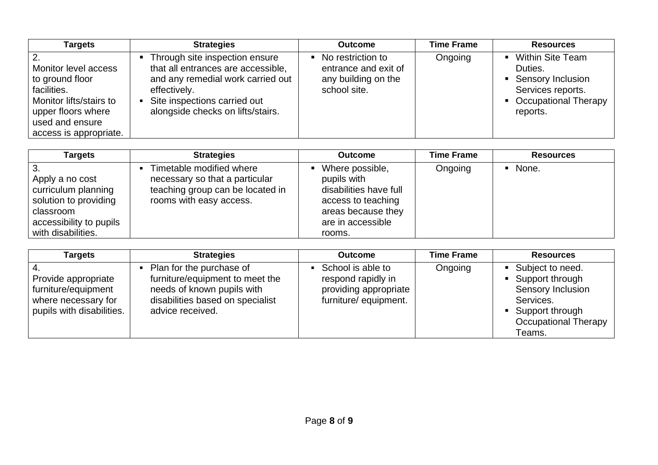| <b>Targets</b>                                                                                                                                       | <b>Strategies</b>                                                                                                                                                                              | <b>Outcome</b>                                                                     | <b>Time Frame</b> | <b>Resources</b>                                                                                                     |
|------------------------------------------------------------------------------------------------------------------------------------------------------|------------------------------------------------------------------------------------------------------------------------------------------------------------------------------------------------|------------------------------------------------------------------------------------|-------------------|----------------------------------------------------------------------------------------------------------------------|
| Monitor level access<br>to ground floor<br>facilities.<br>Monitor lifts/stairs to<br>upper floors where<br>used and ensure<br>access is appropriate. | Through site inspection ensure<br>that all entrances are accessible,<br>and any remedial work carried out<br>effectively.<br>Site inspections carried out<br>alongside checks on lifts/stairs. | • No restriction to<br>entrance and exit of<br>any building on the<br>school site. | Ongoing           | <b>Within Site Team</b><br>Duties.<br>• Sensory Inclusion<br>Services reports.<br>• Occupational Therapy<br>reports. |

| Targets                                                                                                                               | <b>Strategies</b>                                                                                                         | <b>Outcome</b>                                                                                                                      | <b>Time Frame</b> | <b>Resources</b> |
|---------------------------------------------------------------------------------------------------------------------------------------|---------------------------------------------------------------------------------------------------------------------------|-------------------------------------------------------------------------------------------------------------------------------------|-------------------|------------------|
| l 3.<br>Apply a no cost<br>curriculum planning<br>solution to providing<br>classroom<br>accessibility to pupils<br>with disabilities. | Timetable modified where<br>necessary so that a particular<br>teaching group can be located in<br>rooms with easy access. | Where possible,<br>pupils with<br>disabilities have full<br>access to teaching<br>areas because they<br>are in accessible<br>rooms. | Ongoing           | • None.          |

| <b>Targets</b>                                                                                 | <b>Strategies</b>                                                                                                                                 | <b>Outcome</b>                                                                           | <b>Time Frame</b> | <b>Resources</b>                                                                                                                        |
|------------------------------------------------------------------------------------------------|---------------------------------------------------------------------------------------------------------------------------------------------------|------------------------------------------------------------------------------------------|-------------------|-----------------------------------------------------------------------------------------------------------------------------------------|
| Provide appropriate<br>furniture/equipment<br>where necessary for<br>pupils with disabilities. | Plan for the purchase of<br>furniture/equipment to meet the<br>needs of known pupils with<br>disabilities based on specialist<br>advice received. | School is able to<br>respond rapidly in<br>providing appropriate<br>furniture/equipment. | Ongoing           | ■ Subject to need.<br>• Support through<br>Sensory Inclusion<br>Services.<br>• Support through<br><b>Occupational Therapy</b><br>Teams. |